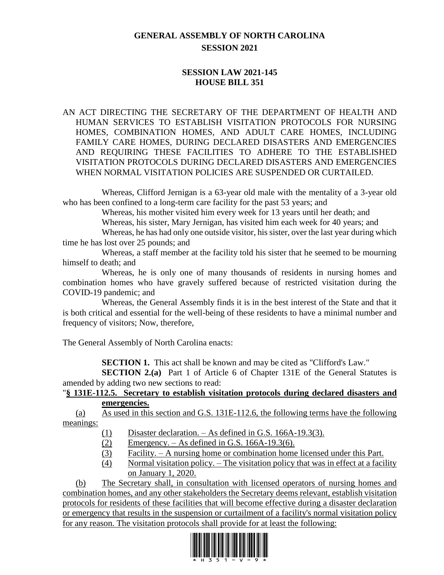# **GENERAL ASSEMBLY OF NORTH CAROLINA SESSION 2021**

## **SESSION LAW 2021-145 HOUSE BILL 351**

#### AN ACT DIRECTING THE SECRETARY OF THE DEPARTMENT OF HEALTH AND HUMAN SERVICES TO ESTABLISH VISITATION PROTOCOLS FOR NURSING HOMES, COMBINATION HOMES, AND ADULT CARE HOMES, INCLUDING FAMILY CARE HOMES, DURING DECLARED DISASTERS AND EMERGENCIES AND REQUIRING THESE FACILITIES TO ADHERE TO THE ESTABLISHED VISITATION PROTOCOLS DURING DECLARED DISASTERS AND EMERGENCIES WHEN NORMAL VISITATION POLICIES ARE SUSPENDED OR CURTAILED.

Whereas, Clifford Jernigan is a 63-year old male with the mentality of a 3-year old who has been confined to a long-term care facility for the past 53 years; and

Whereas, his mother visited him every week for 13 years until her death; and

Whereas, his sister, Mary Jernigan, has visited him each week for 40 years; and

Whereas, he has had only one outside visitor, his sister, over the last year during which time he has lost over 25 pounds; and

Whereas, a staff member at the facility told his sister that he seemed to be mourning himself to death; and

Whereas, he is only one of many thousands of residents in nursing homes and combination homes who have gravely suffered because of restricted visitation during the COVID-19 pandemic; and

Whereas, the General Assembly finds it is in the best interest of the State and that it is both critical and essential for the well-being of these residents to have a minimal number and frequency of visitors; Now, therefore,

The General Assembly of North Carolina enacts:

**SECTION 1.** This act shall be known and may be cited as "Clifford's Law."

**SECTION 2.(a)** Part 1 of Article 6 of Chapter 131E of the General Statutes is amended by adding two new sections to read:

### "**§ 131E-112.5. Secretary to establish visitation protocols during declared disasters and emergencies.**

(a) As used in this section and G.S. 131E-112.6, the following terms have the following meanings:

- (1) Disaster declaration. As defined in G.S. 166A-19.3(3).
- (2) Emergency. As defined in G.S. 166A-19.3(6).
- (3) Facility. A nursing home or combination home licensed under this Part.
- (4) Normal visitation policy. The visitation policy that was in effect at a facility on January 1, 2020.

(b) The Secretary shall, in consultation with licensed operators of nursing homes and combination homes, and any other stakeholders the Secretary deems relevant, establish visitation protocols for residents of these facilities that will become effective during a disaster declaration or emergency that results in the suspension or curtailment of a facility's normal visitation policy for any reason. The visitation protocols shall provide for at least the following:

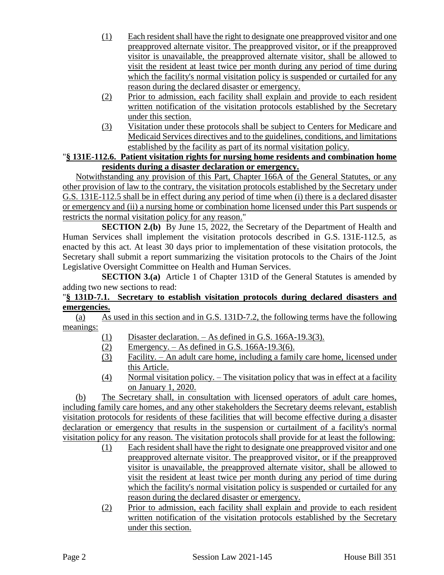- (1) Each resident shall have the right to designate one preapproved visitor and one preapproved alternate visitor. The preapproved visitor, or if the preapproved visitor is unavailable, the preapproved alternate visitor, shall be allowed to visit the resident at least twice per month during any period of time during which the facility's normal visitation policy is suspended or curtailed for any reason during the declared disaster or emergency.
- (2) Prior to admission, each facility shall explain and provide to each resident written notification of the visitation protocols established by the Secretary under this section.
- (3) Visitation under these protocols shall be subject to Centers for Medicare and Medicaid Services directives and to the guidelines, conditions, and limitations established by the facility as part of its normal visitation policy.

### "**§ 131E-112.6. Patient visitation rights for nursing home residents and combination home residents during a disaster declaration or emergency.**

Notwithstanding any provision of this Part, Chapter 166A of the General Statutes, or any other provision of law to the contrary, the visitation protocols established by the Secretary under G.S. 131E-112.5 shall be in effect during any period of time when (i) there is a declared disaster or emergency and (ii) a nursing home or combination home licensed under this Part suspends or restricts the normal visitation policy for any reason."

**SECTION 2.(b)** By June 15, 2022, the Secretary of the Department of Health and Human Services shall implement the visitation protocols described in G.S. 131E-112.5, as enacted by this act. At least 30 days prior to implementation of these visitation protocols, the Secretary shall submit a report summarizing the visitation protocols to the Chairs of the Joint Legislative Oversight Committee on Health and Human Services.

**SECTION 3.(a)** Article 1 of Chapter 131D of the General Statutes is amended by adding two new sections to read:

#### "**§ 131D-7.1. Secretary to establish visitation protocols during declared disasters and emergencies.**

(a) As used in this section and in G.S. 131D-7.2, the following terms have the following meanings:

- (1) Disaster declaration. As defined in G.S. 166A-19.3(3).
- (2) Emergency. As defined in G.S. 166A-19.3(6).
- (3) Facility. An adult care home, including a family care home, licensed under this Article.
- (4) Normal visitation policy. The visitation policy that was in effect at a facility on January 1, 2020.

(b) The Secretary shall, in consultation with licensed operators of adult care homes, including family care homes, and any other stakeholders the Secretary deems relevant, establish visitation protocols for residents of these facilities that will become effective during a disaster declaration or emergency that results in the suspension or curtailment of a facility's normal visitation policy for any reason. The visitation protocols shall provide for at least the following:

- (1) Each resident shall have the right to designate one preapproved visitor and one preapproved alternate visitor. The preapproved visitor, or if the preapproved visitor is unavailable, the preapproved alternate visitor, shall be allowed to visit the resident at least twice per month during any period of time during which the facility's normal visitation policy is suspended or curtailed for any reason during the declared disaster or emergency.
- (2) Prior to admission, each facility shall explain and provide to each resident written notification of the visitation protocols established by the Secretary under this section.